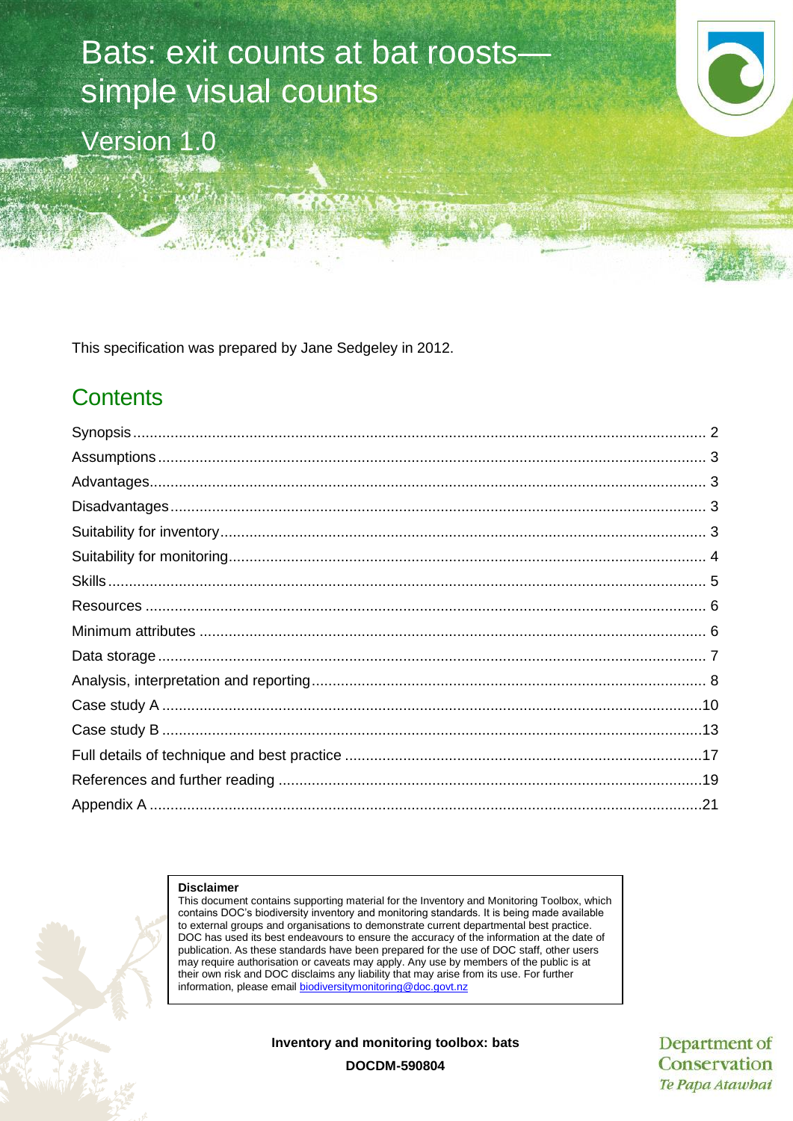# Bats: exit counts at bat roosts simple visual counts

Version 1.0



This specification was prepared by Jane Sedgeley in 2012.

# **Contents**

#### **Disclaimer**

This document contains supporting material for the Inventory and Monitoring Toolbox, which contains DOC's biodiversity inventory and monitoring standards. It is being made available to external groups and organisations to demonstrate current departmental best practice. DOC has used its best endeavours to ensure the accuracy of the information at the date of publication. As these standards have been prepared for the use of DOC staff, other users may require authorisation or caveats may apply. Any use by members of the public is at their own risk and DOC disclaims any liability that may arise from its use. For further information, please email [biodiversitymonitoring@doc.govt.nz](mailto:biodiversitymonitoring@doc.govt.nz)

**Inventory and monitoring toolbox: bats**

Department of Conservation Te Papa Atawhai

**DOCDM-590804**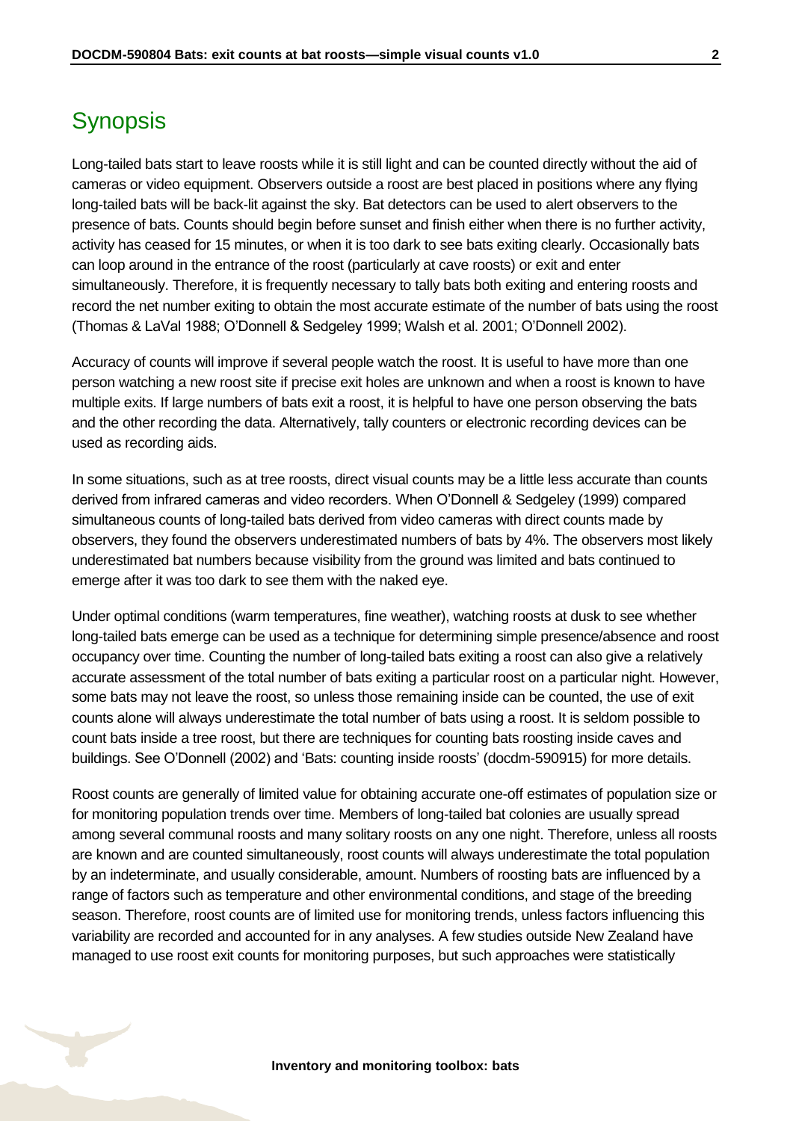# <span id="page-1-0"></span>**Synopsis**

Long-tailed bats start to leave roosts while it is still light and can be counted directly without the aid of cameras or video equipment. Observers outside a roost are best placed in positions where any flying long-tailed bats will be back-lit against the sky. Bat detectors can be used to alert observers to the presence of bats. Counts should begin before sunset and finish either when there is no further activity, activity has ceased for 15 minutes, or when it is too dark to see bats exiting clearly. Occasionally bats can loop around in the entrance of the roost (particularly at cave roosts) or exit and enter simultaneously. Therefore, it is frequently necessary to tally bats both exiting and entering roosts and record the net number exiting to obtain the most accurate estimate of the number of bats using the roost (Thomas & LaVal 1988; O'Donnell & Sedgeley 1999; Walsh et al. 2001; O'Donnell 2002).

Accuracy of counts will improve if several people watch the roost. It is useful to have more than one person watching a new roost site if precise exit holes are unknown and when a roost is known to have multiple exits. If large numbers of bats exit a roost, it is helpful to have one person observing the bats and the other recording the data. Alternatively, tally counters or electronic recording devices can be used as recording aids.

In some situations, such as at tree roosts, direct visual counts may be a little less accurate than counts derived from infrared cameras and video recorders. When O'Donnell & Sedgeley (1999) compared simultaneous counts of long-tailed bats derived from video cameras with direct counts made by observers, they found the observers underestimated numbers of bats by 4%. The observers most likely underestimated bat numbers because visibility from the ground was limited and bats continued to emerge after it was too dark to see them with the naked eye.

Under optimal conditions (warm temperatures, fine weather), watching roosts at dusk to see whether long-tailed bats emerge can be used as a technique for determining simple presence/absence and roost occupancy over time. Counting the number of long-tailed bats exiting a roost can also give a relatively accurate assessment of the total number of bats exiting a particular roost on a particular night. However, some bats may not leave the roost, so unless those remaining inside can be counted, the use of exit counts alone will always underestimate the total number of bats using a roost. It is seldom possible to count bats inside a tree roost, but there are techniques for counting bats roosting inside caves and buildings. See O'Donnell (2002) and 'Bats: counting inside roosts' (docdm-590915) for more details.

Roost counts are generally of limited value for obtaining accurate one-off estimates of population size or for monitoring population trends over time. Members of long-tailed bat colonies are usually spread among several communal roosts and many solitary roosts on any one night. Therefore, unless all roosts are known and are counted simultaneously, roost counts will always underestimate the total population by an indeterminate, and usually considerable, amount. Numbers of roosting bats are influenced by a range of factors such as temperature and other environmental conditions, and stage of the breeding season. Therefore, roost counts are of limited use for monitoring trends, unless factors influencing this variability are recorded and accounted for in any analyses. A few studies outside New Zealand have managed to use roost exit counts for monitoring purposes, but such approaches were statistically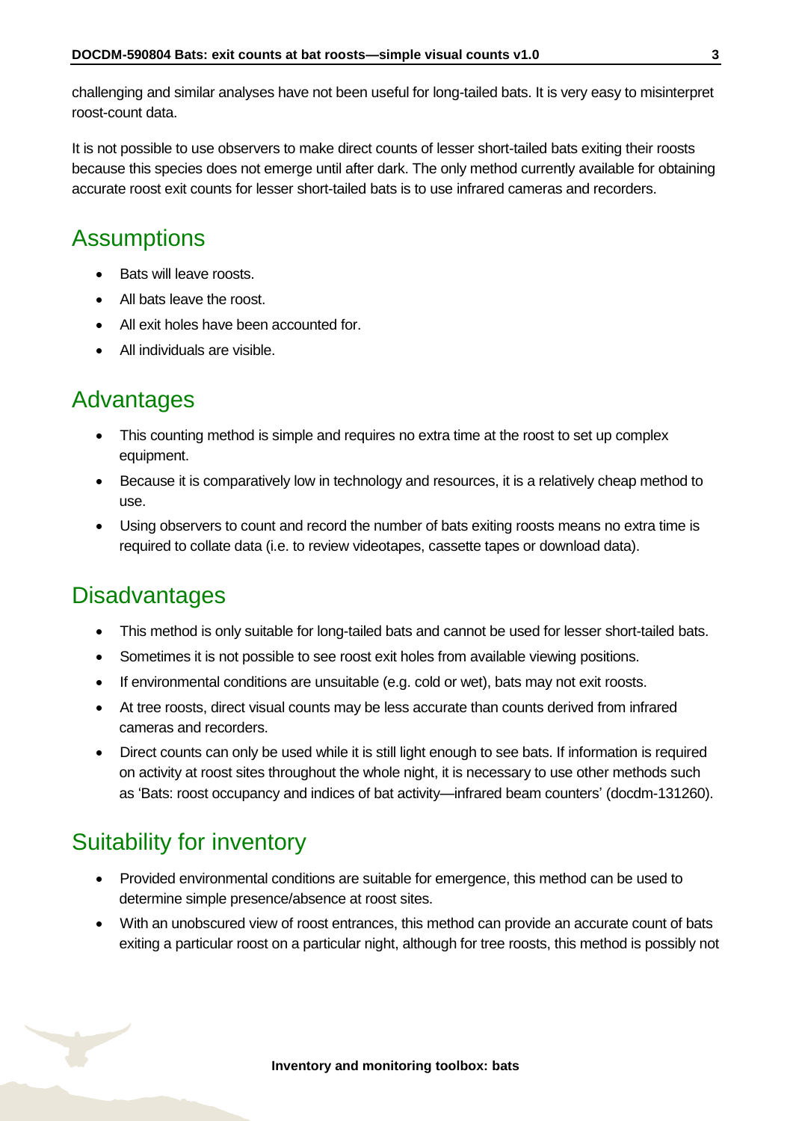challenging and similar analyses have not been useful for long-tailed bats. It is very easy to misinterpret roost-count data.

It is not possible to use observers to make direct counts of lesser short-tailed bats exiting their roosts because this species does not emerge until after dark. The only method currently available for obtaining accurate roost exit counts for lesser short-tailed bats is to use infrared cameras and recorders.

# <span id="page-2-0"></span>**Assumptions**

- Bats will leave roosts.
- All bats leave the roost.
- All exit holes have been accounted for.
- All individuals are visible.

## <span id="page-2-1"></span>Advantages

- This counting method is simple and requires no extra time at the roost to set up complex equipment.
- Because it is comparatively low in technology and resources, it is a relatively cheap method to use.
- Using observers to count and record the number of bats exiting roosts means no extra time is required to collate data (i.e. to review videotapes, cassette tapes or download data).

# <span id="page-2-2"></span>**Disadvantages**

- This method is only suitable for long-tailed bats and cannot be used for lesser short-tailed bats.
- Sometimes it is not possible to see roost exit holes from available viewing positions.
- If environmental conditions are unsuitable (e.g. cold or wet), bats may not exit roosts.
- At tree roosts, direct visual counts may be less accurate than counts derived from infrared cameras and recorders.
- Direct counts can only be used while it is still light enough to see bats. If information is required on activity at roost sites throughout the whole night, it is necessary to use other methods such as 'Bats: roost occupancy and indices of bat activity—infrared beam counters' (docdm-131260).

# <span id="page-2-3"></span>Suitability for inventory

- Provided environmental conditions are suitable for emergence, this method can be used to determine simple presence/absence at roost sites.
- With an unobscured view of roost entrances, this method can provide an accurate count of bats exiting a particular roost on a particular night, although for tree roosts, this method is possibly not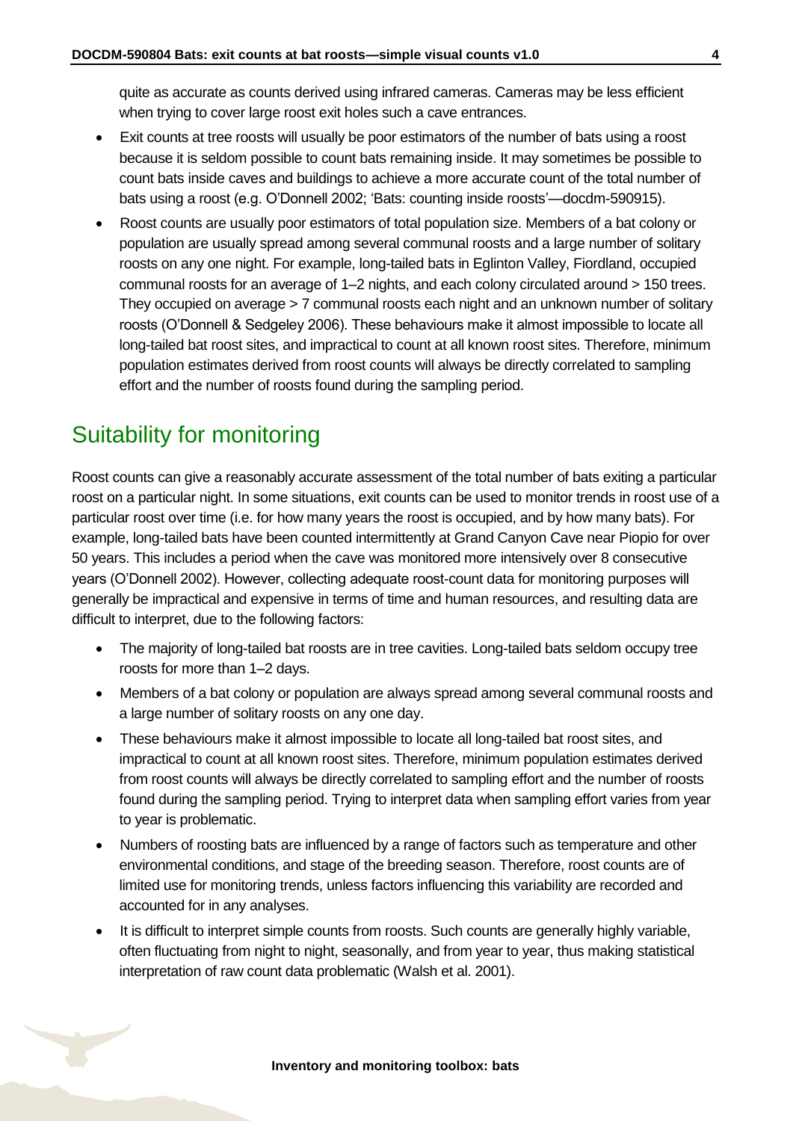quite as accurate as counts derived using infrared cameras. Cameras may be less efficient when trying to cover large roost exit holes such a cave entrances.

- Exit counts at tree roosts will usually be poor estimators of the number of bats using a roost because it is seldom possible to count bats remaining inside. It may sometimes be possible to count bats inside caves and buildings to achieve a more accurate count of the total number of bats using a roost (e.g. O'Donnell 2002; 'Bats: counting inside roosts'—docdm-590915).
- Roost counts are usually poor estimators of total population size. Members of a bat colony or population are usually spread among several communal roosts and a large number of solitary roosts on any one night. For example, long-tailed bats in Eglinton Valley, Fiordland, occupied communal roosts for an average of 1–2 nights, and each colony circulated around > 150 trees. They occupied on average > 7 communal roosts each night and an unknown number of solitary roosts (O'Donnell & Sedgeley 2006). These behaviours make it almost impossible to locate all long-tailed bat roost sites, and impractical to count at all known roost sites. Therefore, minimum population estimates derived from roost counts will always be directly correlated to sampling effort and the number of roosts found during the sampling period.

# <span id="page-3-0"></span>Suitability for monitoring

Roost counts can give a reasonably accurate assessment of the total number of bats exiting a particular roost on a particular night. In some situations, exit counts can be used to monitor trends in roost use of a particular roost over time (i.e. for how many years the roost is occupied, and by how many bats). For example, long-tailed bats have been counted intermittently at Grand Canyon Cave near Piopio for over 50 years. This includes a period when the cave was monitored more intensively over 8 consecutive years (O'Donnell 2002). However, collecting adequate roost-count data for monitoring purposes will generally be impractical and expensive in terms of time and human resources, and resulting data are difficult to interpret, due to the following factors:

- The majority of long-tailed bat roosts are in tree cavities. Long-tailed bats seldom occupy tree roosts for more than 1–2 days.
- Members of a bat colony or population are always spread among several communal roosts and a large number of solitary roosts on any one day.
- These behaviours make it almost impossible to locate all long-tailed bat roost sites, and impractical to count at all known roost sites. Therefore, minimum population estimates derived from roost counts will always be directly correlated to sampling effort and the number of roosts found during the sampling period. Trying to interpret data when sampling effort varies from year to year is problematic.
- Numbers of roosting bats are influenced by a range of factors such as temperature and other environmental conditions, and stage of the breeding season. Therefore, roost counts are of limited use for monitoring trends, unless factors influencing this variability are recorded and accounted for in any analyses.
- It is difficult to interpret simple counts from roosts. Such counts are generally highly variable, often fluctuating from night to night, seasonally, and from year to year, thus making statistical interpretation of raw count data problematic (Walsh et al. 2001).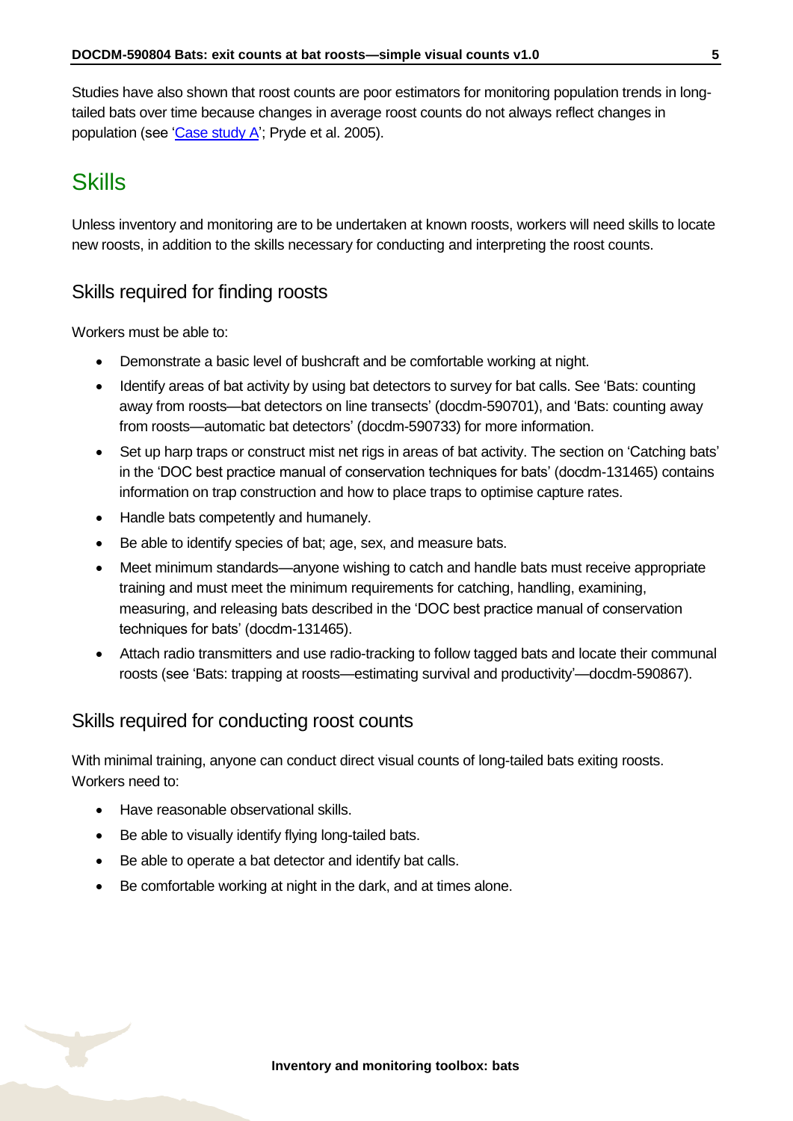Studies have also shown that roost counts are poor estimators for monitoring population trends in longtailed bats over time because changes in average roost counts do not always reflect changes in population (see ['Case study A';](#page-9-0) Pryde et al. 2005).

# <span id="page-4-0"></span>**Skills**

Unless inventory and monitoring are to be undertaken at known roosts, workers will need skills to locate new roosts, in addition to the skills necessary for conducting and interpreting the roost counts.

#### Skills required for finding roosts

Workers must be able to:

- Demonstrate a basic level of bushcraft and be comfortable working at night.
- Identify areas of bat activity by using bat detectors to survey for bat calls. See 'Bats: counting away from roosts—bat detectors on line transects' (docdm-590701), and 'Bats: counting away from roosts—automatic bat detectors' (docdm-590733) for more information.
- Set up harp traps or construct mist net rigs in areas of bat activity. The section on 'Catching bats' in the 'DOC best practice manual of conservation techniques for bats' (docdm-131465) contains information on trap construction and how to place traps to optimise capture rates.
- Handle bats competently and humanely.
- Be able to identify species of bat; age, sex, and measure bats.
- Meet minimum standards—anyone wishing to catch and handle bats must receive appropriate training and must meet the minimum requirements for catching, handling, examining, measuring, and releasing bats described in the 'DOC best practice manual of conservation techniques for bats' (docdm-131465).
- Attach radio transmitters and use radio-tracking to follow tagged bats and locate their communal roosts (see 'Bats: trapping at roosts—estimating survival and productivity'—docdm-590867).

#### Skills required for conducting roost counts

With minimal training, anyone can conduct direct visual counts of long-tailed bats exiting roosts. Workers need to:

- Have reasonable observational skills.
- Be able to visually identify flying long-tailed bats.
- Be able to operate a bat detector and identify bat calls.
- Be comfortable working at night in the dark, and at times alone.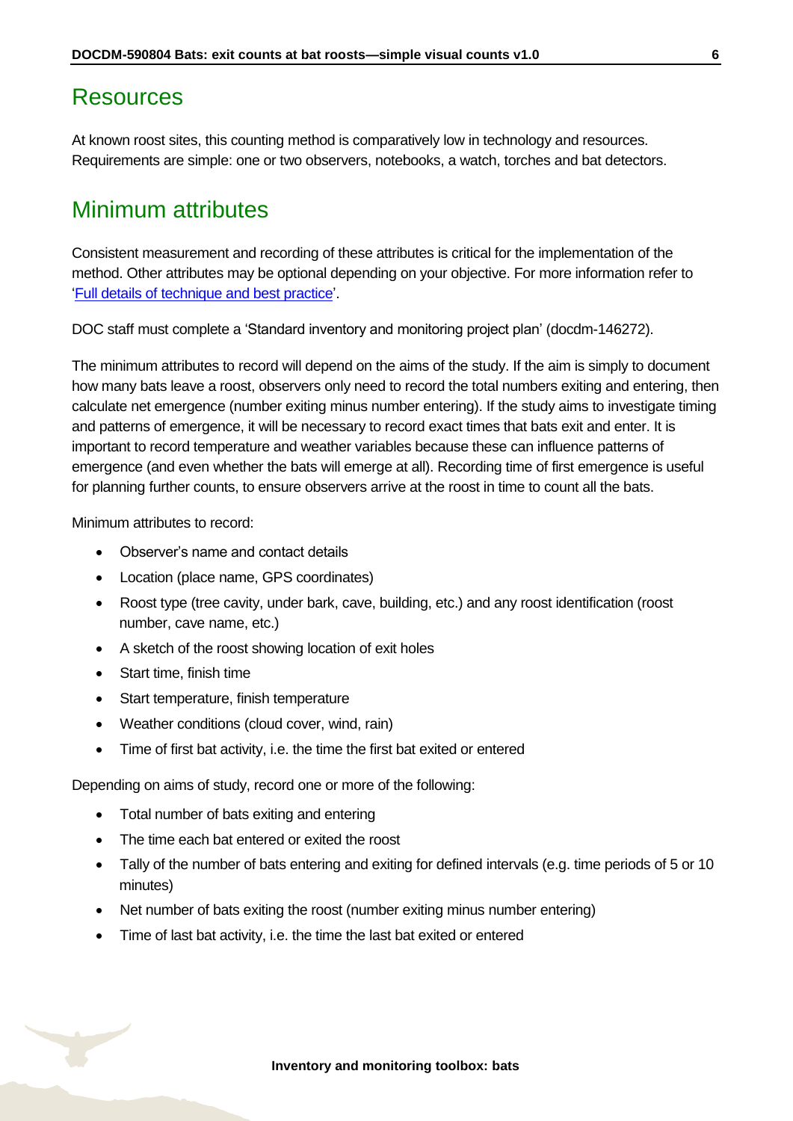#### <span id="page-5-0"></span>Resources

At known roost sites, this counting method is comparatively low in technology and resources. Requirements are simple: one or two observers, notebooks, a watch, torches and bat detectors.

### <span id="page-5-1"></span>Minimum attributes

Consistent measurement and recording of these attributes is critical for the implementation of the method. Other attributes may be optional depending on your objective. For more information refer to ['Full details of technique and best practice'](#page-16-0).

DOC staff must complete a 'Standard inventory and monitoring project plan' (docdm-146272).

The minimum attributes to record will depend on the aims of the study. If the aim is simply to document how many bats leave a roost, observers only need to record the total numbers exiting and entering, then calculate net emergence (number exiting minus number entering). If the study aims to investigate timing and patterns of emergence, it will be necessary to record exact times that bats exit and enter. It is important to record temperature and weather variables because these can influence patterns of emergence (and even whether the bats will emerge at all). Recording time of first emergence is useful for planning further counts, to ensure observers arrive at the roost in time to count all the bats.

Minimum attributes to record:

- Observer's name and contact details
- Location (place name, GPS coordinates)
- Roost type (tree cavity, under bark, cave, building, etc.) and any roost identification (roost number, cave name, etc.)
- A sketch of the roost showing location of exit holes
- Start time, finish time
- Start temperature, finish temperature
- Weather conditions (cloud cover, wind, rain)
- Time of first bat activity, i.e. the time the first bat exited or entered

Depending on aims of study, record one or more of the following:

- Total number of bats exiting and entering
- The time each bat entered or exited the roost
- Tally of the number of bats entering and exiting for defined intervals (e.g. time periods of 5 or 10 minutes)
- Net number of bats exiting the roost (number exiting minus number entering)
- Time of last bat activity, i.e. the time the last bat exited or entered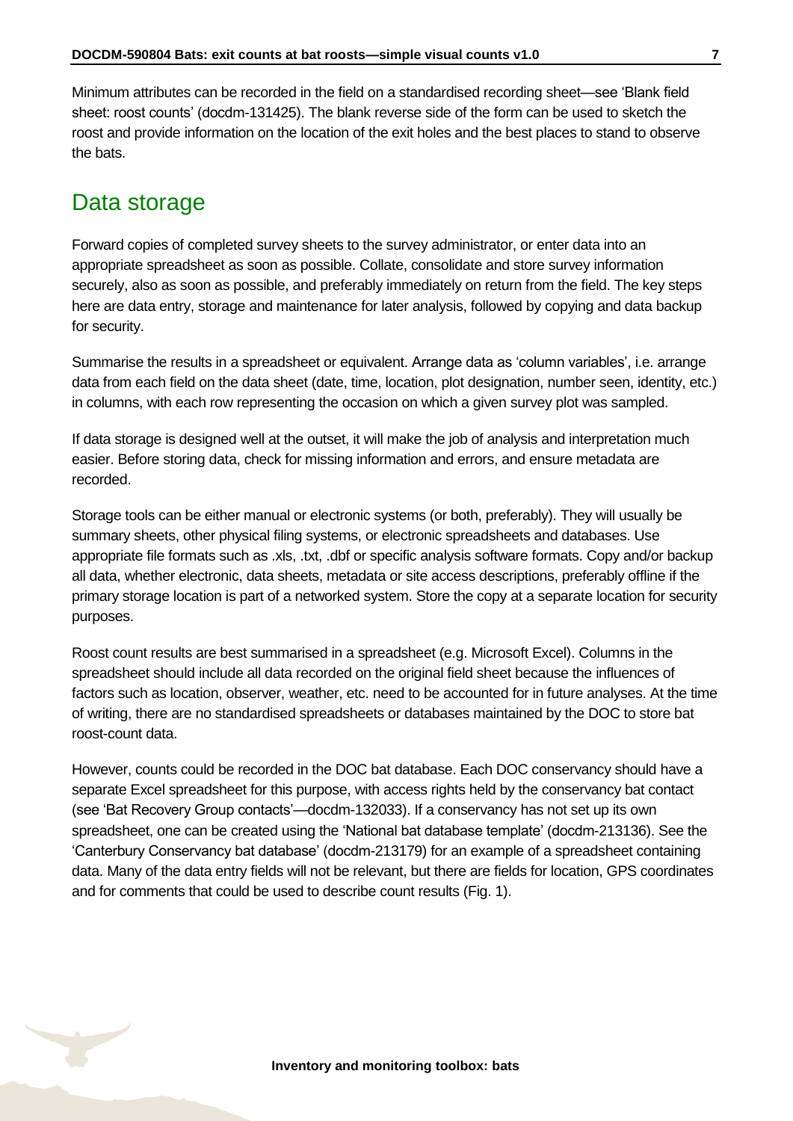Minimum attributes can be recorded in the field on a standardised recording sheet—see 'Blank field sheet: roost counts' (docdm-131425). The blank reverse side of the form can be used to sketch the roost and provide information on the location of the exit holes and the best places to stand to observe the bats.

### <span id="page-6-0"></span>Data storage

Forward copies of completed survey sheets to the survey administrator, or enter data into an appropriate spreadsheet as soon as possible. Collate, consolidate and store survey information securely, also as soon as possible, and preferably immediately on return from the field. The key steps here are data entry, storage and maintenance for later analysis, followed by copying and data backup for security.

Summarise the results in a spreadsheet or equivalent. Arrange data as 'column variables', i.e. arrange data from each field on the data sheet (date, time, location, plot designation, number seen, identity, etc.) in columns, with each row representing the occasion on which a given survey plot was sampled.

If data storage is designed well at the outset, it will make the job of analysis and interpretation much easier. Before storing data, check for missing information and errors, and ensure metadata are recorded.

Storage tools can be either manual or electronic systems (or both, preferably). They will usually be summary sheets, other physical filing systems, or electronic spreadsheets and databases. Use appropriate file formats such as .xls, .txt, .dbf or specific analysis software formats. Copy and/or backup all data, whether electronic, data sheets, metadata or site access descriptions, preferably offline if the primary storage location is part of a networked system. Store the copy at a separate location for security purposes.

Roost count results are best summarised in a spreadsheet (e.g. Microsoft Excel). Columns in the spreadsheet should include all data recorded on the original field sheet because the influences of factors such as location, observer, weather, etc. need to be accounted for in future analyses. At the time of writing, there are no standardised spreadsheets or databases maintained by the DOC to store bat roost-count data.

However, counts could be recorded in the DOC bat database. Each DOC conservancy should have a separate Excel spreadsheet for this purpose, with access rights held by the conservancy bat contact (see 'Bat Recovery Group contacts'—docdm-132033). If a conservancy has not set up its own spreadsheet, one can be created using the 'National bat database template' (docdm-213136). See the 'Canterbury Conservancy bat database' (docdm-213179) for an example of a spreadsheet containing data. Many of the data entry fields will not be relevant, but there are fields for location, GPS coordinates and for comments that could be used to describe count results (Fig. 1).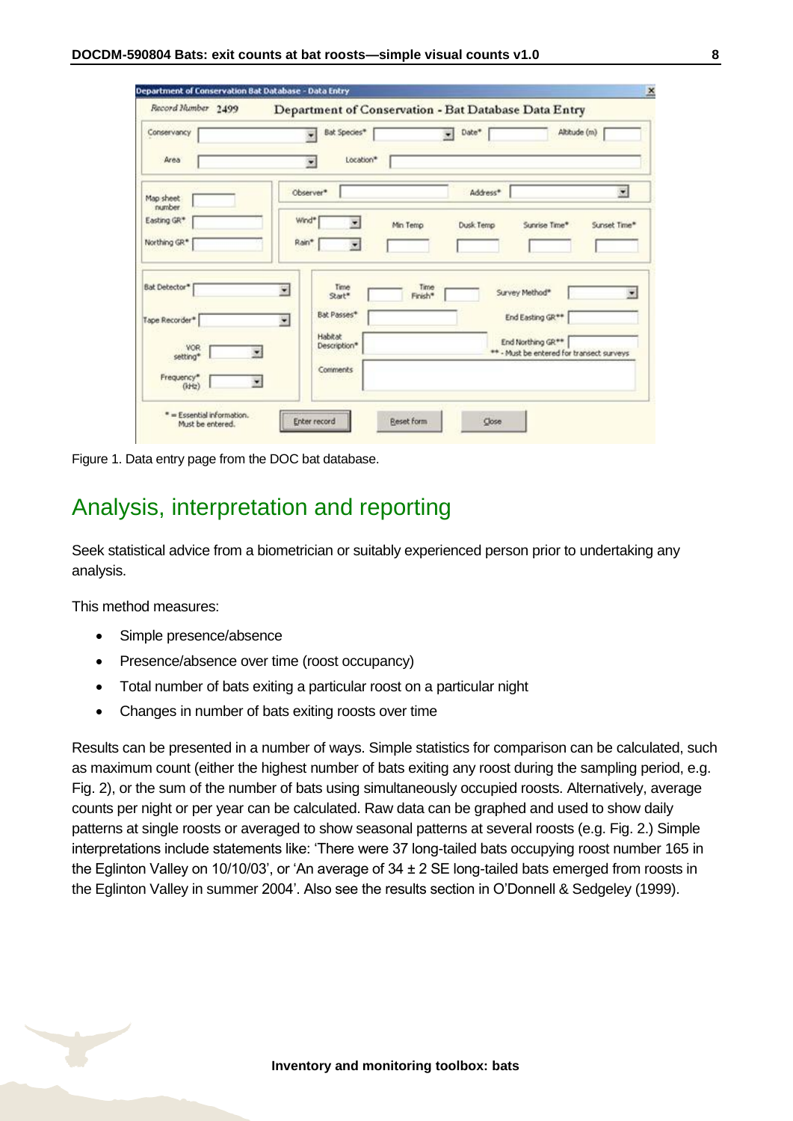| Record Humber 2499   | Department of Conservation - Bat Database Data Entry |                                   |                                           |
|----------------------|------------------------------------------------------|-----------------------------------|-------------------------------------------|
| Conservancy          | Bat Species*                                         | Date*<br>٠                        | Altitude (m)                              |
| Area                 | Location*<br>$\overline{\phantom{a}}$                |                                   |                                           |
| Map sheet<br>number. | Observer*                                            | Address*                          | ×                                         |
| Easting GR*          | Wind*<br>Min Temp                                    | Dusk Temp                         | Sunset Time*<br>Sunrise Time*             |
| Northing GR*         | Rain*<br>$\overline{\phantom{a}}$                    |                                   |                                           |
| <b>Bat Detector*</b> | Time<br>۳<br>Start*                                  | Time<br>Survey Method*<br>Finish* | $\bullet$                                 |
| Tape Recorder*       | Bat Passes*<br>۰                                     | End Easting GR**                  |                                           |
| :VOR<br>setting*     | Habitat<br>Description*<br>۰                         | End Northing GR**                 | ** - Must be entered for transect surveys |
| Frequency*           | Comments                                             |                                   |                                           |

Figure 1. Data entry page from the DOC bat database.

### <span id="page-7-0"></span>Analysis, interpretation and reporting

Seek statistical advice from a biometrician or suitably experienced person prior to undertaking any analysis.

This method measures:

- Simple presence/absence
- Presence/absence over time (roost occupancy)
- Total number of bats exiting a particular roost on a particular night
- Changes in number of bats exiting roosts over time

Results can be presented in a number of ways. Simple statistics for comparison can be calculated, such as maximum count (either the highest number of bats exiting any roost during the sampling period, e.g. Fig. 2), or the sum of the number of bats using simultaneously occupied roosts. Alternatively, average counts per night or per year can be calculated. Raw data can be graphed and used to show daily patterns at single roosts or averaged to show seasonal patterns at several roosts (e.g. Fig. 2.) Simple interpretations include statements like: 'There were 37 long-tailed bats occupying roost number 165 in the Eglinton Valley on 10/10/03', or 'An average of  $34 \pm 2$  SE long-tailed bats emerged from roosts in the Eglinton Valley in summer 2004'. Also see the results section in O'Donnell & Sedgeley (1999).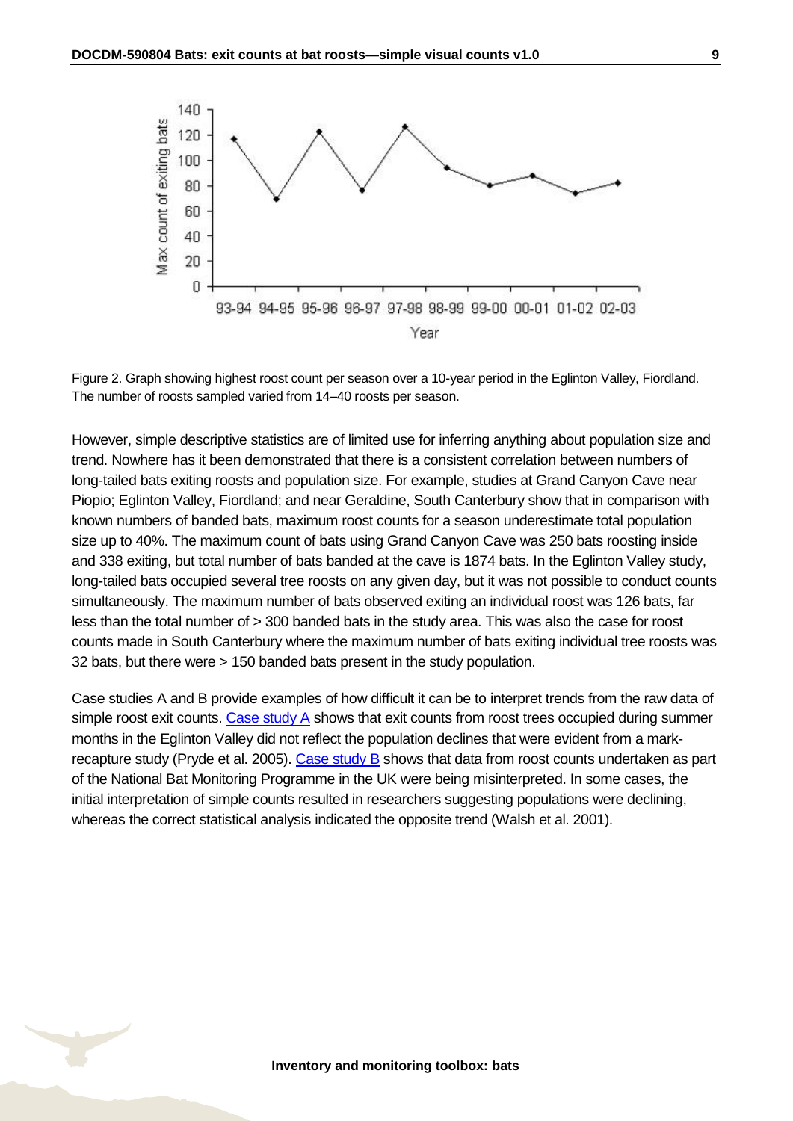



However, simple descriptive statistics are of limited use for inferring anything about population size and trend. Nowhere has it been demonstrated that there is a consistent correlation between numbers of long-tailed bats exiting roosts and population size. For example, studies at Grand Canyon Cave near Piopio; Eglinton Valley, Fiordland; and near Geraldine, South Canterbury show that in comparison with known numbers of banded bats, maximum roost counts for a season underestimate total population size up to 40%. The maximum count of bats using Grand Canyon Cave was 250 bats roosting inside and 338 exiting, but total number of bats banded at the cave is 1874 bats. In the Eglinton Valley study, long-tailed bats occupied several tree roosts on any given day, but it was not possible to conduct counts simultaneously. The maximum number of bats observed exiting an individual roost was 126 bats, far less than the total number of > 300 banded bats in the study area. This was also the case for roost counts made in South Canterbury where the maximum number of bats exiting individual tree roosts was 32 bats, but there were > 150 banded bats present in the study population.

Case studies A and B provide examples of how difficult it can be to interpret trends from the raw data of simple roost exit counts. [Case study A](#page-9-0) shows that exit counts from roost trees occupied during summer months in the Eglinton Valley did not reflect the population declines that were evident from a mark-recapture study (Pryde et al. 2005). [Case study B](#page-12-0) shows that data from roost counts undertaken as part of the National Bat Monitoring Programme in the UK were being misinterpreted. In some cases, the initial interpretation of simple counts resulted in researchers suggesting populations were declining, whereas the correct statistical analysis indicated the opposite trend (Walsh et al. 2001).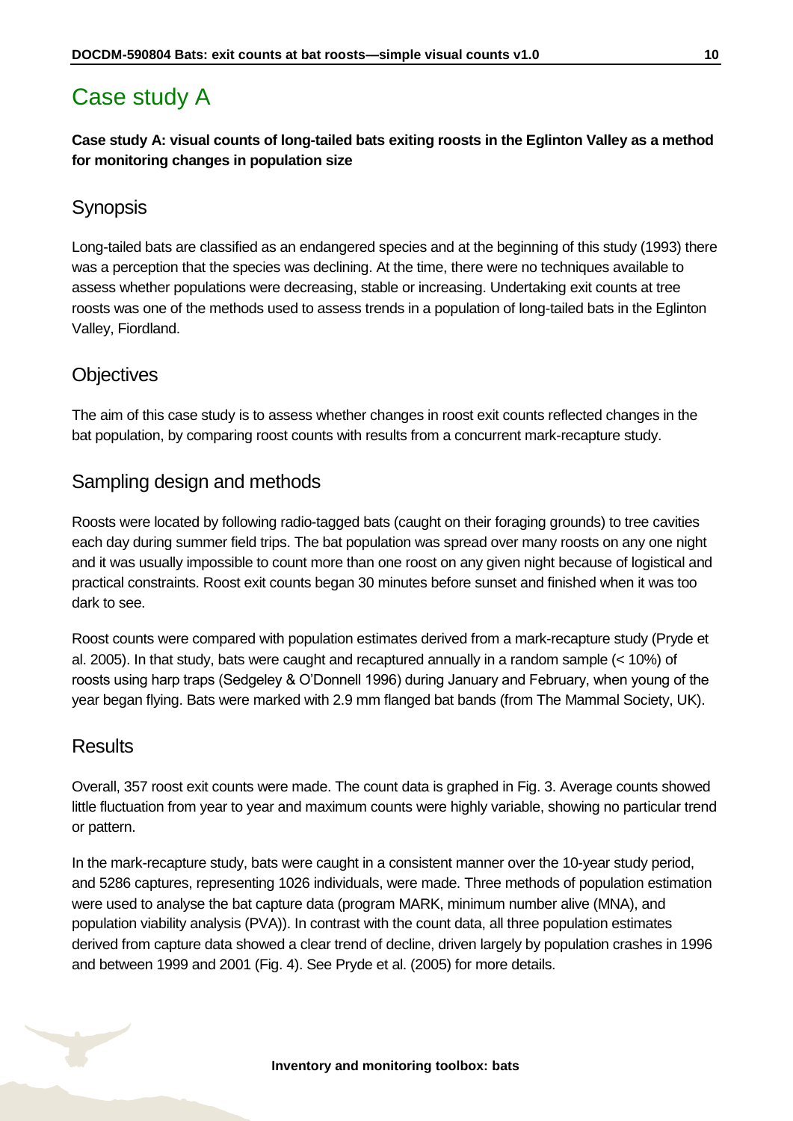# <span id="page-9-0"></span>Case study A

**Case study A: visual counts of long-tailed bats exiting roosts in the Eglinton Valley as a method for monitoring changes in population size**

#### **Synopsis**

Long-tailed bats are classified as an endangered species and at the beginning of this study (1993) there was a perception that the species was declining. At the time, there were no techniques available to assess whether populations were decreasing, stable or increasing. Undertaking exit counts at tree roosts was one of the methods used to assess trends in a population of long-tailed bats in the Eglinton Valley, Fiordland.

#### **Objectives**

The aim of this case study is to assess whether changes in roost exit counts reflected changes in the bat population, by comparing roost counts with results from a concurrent mark-recapture study.

#### Sampling design and methods

Roosts were located by following radio-tagged bats (caught on their foraging grounds) to tree cavities each day during summer field trips. The bat population was spread over many roosts on any one night and it was usually impossible to count more than one roost on any given night because of logistical and practical constraints. Roost exit counts began 30 minutes before sunset and finished when it was too dark to see.

Roost counts were compared with population estimates derived from a mark-recapture study (Pryde et al. 2005). In that study, bats were caught and recaptured annually in a random sample (< 10%) of roosts using harp traps (Sedgeley & O'Donnell 1996) during January and February, when young of the year began flying. Bats were marked with 2.9 mm flanged bat bands (from The Mammal Society, UK).

#### **Results**

Overall, 357 roost exit counts were made. The count data is graphed in Fig. 3. Average counts showed little fluctuation from year to year and maximum counts were highly variable, showing no particular trend or pattern.

In the mark-recapture study, bats were caught in a consistent manner over the 10-year study period, and 5286 captures, representing 1026 individuals, were made. Three methods of population estimation were used to analyse the bat capture data (program MARK, minimum number alive (MNA), and population viability analysis (PVA)). In contrast with the count data, all three population estimates derived from capture data showed a clear trend of decline, driven largely by population crashes in 1996 and between 1999 and 2001 (Fig. 4). See Pryde et al. (2005) for more details.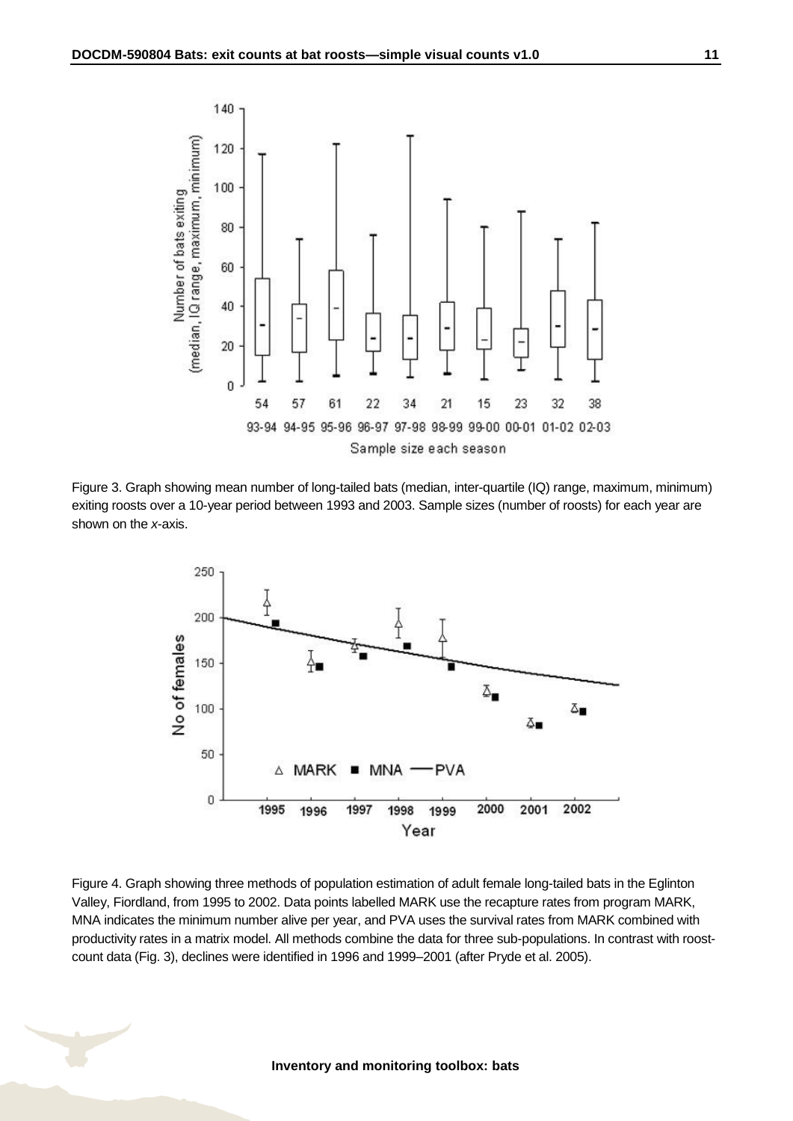





Figure 4. Graph showing three methods of population estimation of adult female long-tailed bats in the Eglinton Valley, Fiordland, from 1995 to 2002. Data points labelled MARK use the recapture rates from program MARK, MNA indicates the minimum number alive per year, and PVA uses the survival rates from MARK combined with productivity rates in a matrix model. All methods combine the data for three sub-populations. In contrast with roostcount data (Fig. 3), declines were identified in 1996 and 1999–2001 (after Pryde et al. 2005).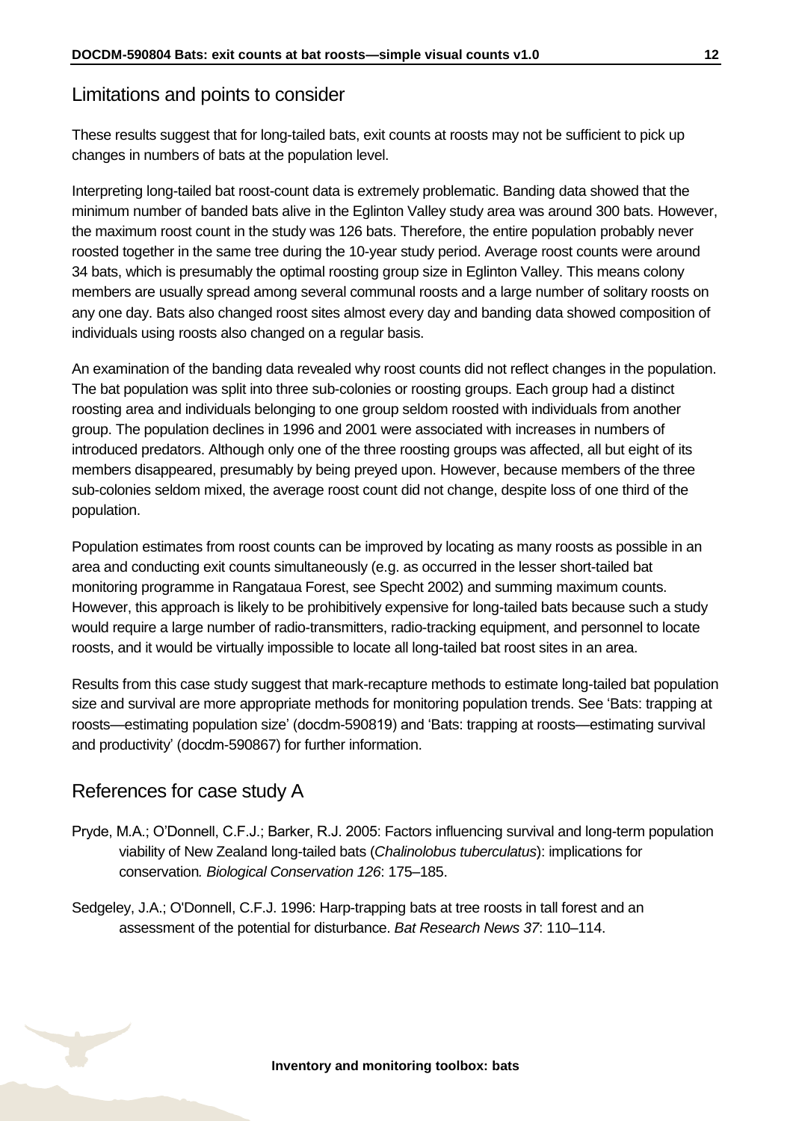#### Limitations and points to consider

These results suggest that for long-tailed bats, exit counts at roosts may not be sufficient to pick up changes in numbers of bats at the population level.

Interpreting long-tailed bat roost-count data is extremely problematic. Banding data showed that the minimum number of banded bats alive in the Eglinton Valley study area was around 300 bats. However, the maximum roost count in the study was 126 bats. Therefore, the entire population probably never roosted together in the same tree during the 10-year study period. Average roost counts were around 34 bats, which is presumably the optimal roosting group size in Eglinton Valley. This means colony members are usually spread among several communal roosts and a large number of solitary roosts on any one day. Bats also changed roost sites almost every day and banding data showed composition of individuals using roosts also changed on a regular basis.

An examination of the banding data revealed why roost counts did not reflect changes in the population. The bat population was split into three sub-colonies or roosting groups. Each group had a distinct roosting area and individuals belonging to one group seldom roosted with individuals from another group. The population declines in 1996 and 2001 were associated with increases in numbers of introduced predators. Although only one of the three roosting groups was affected, all but eight of its members disappeared, presumably by being preyed upon. However, because members of the three sub-colonies seldom mixed, the average roost count did not change, despite loss of one third of the population.

Population estimates from roost counts can be improved by locating as many roosts as possible in an area and conducting exit counts simultaneously (e.g. as occurred in the lesser short-tailed bat monitoring programme in Rangataua Forest, see Specht 2002) and summing maximum counts. However, this approach is likely to be prohibitively expensive for long-tailed bats because such a study would require a large number of radio-transmitters, radio-tracking equipment, and personnel to locate roosts, and it would be virtually impossible to locate all long-tailed bat roost sites in an area.

Results from this case study suggest that mark-recapture methods to estimate long-tailed bat population size and survival are more appropriate methods for monitoring population trends. See 'Bats: trapping at roosts—estimating population size' (docdm-590819) and 'Bats: trapping at roosts—estimating survival and productivity' (docdm-590867) for further information.

#### References for case study A

- Pryde, M.A.; O'Donnell, C.F.J.; Barker, R.J. 2005: Factors influencing survival and long-term population viability of New Zealand long-tailed bats (*Chalinolobus tuberculatus*): implications for conservation*. Biological Conservation 126*: 175–185.
- Sedgeley, J.A.; O'Donnell, C.F.J. 1996: Harp-trapping bats at tree roosts in tall forest and an assessment of the potential for disturbance. *Bat Research News 37*: 110–114.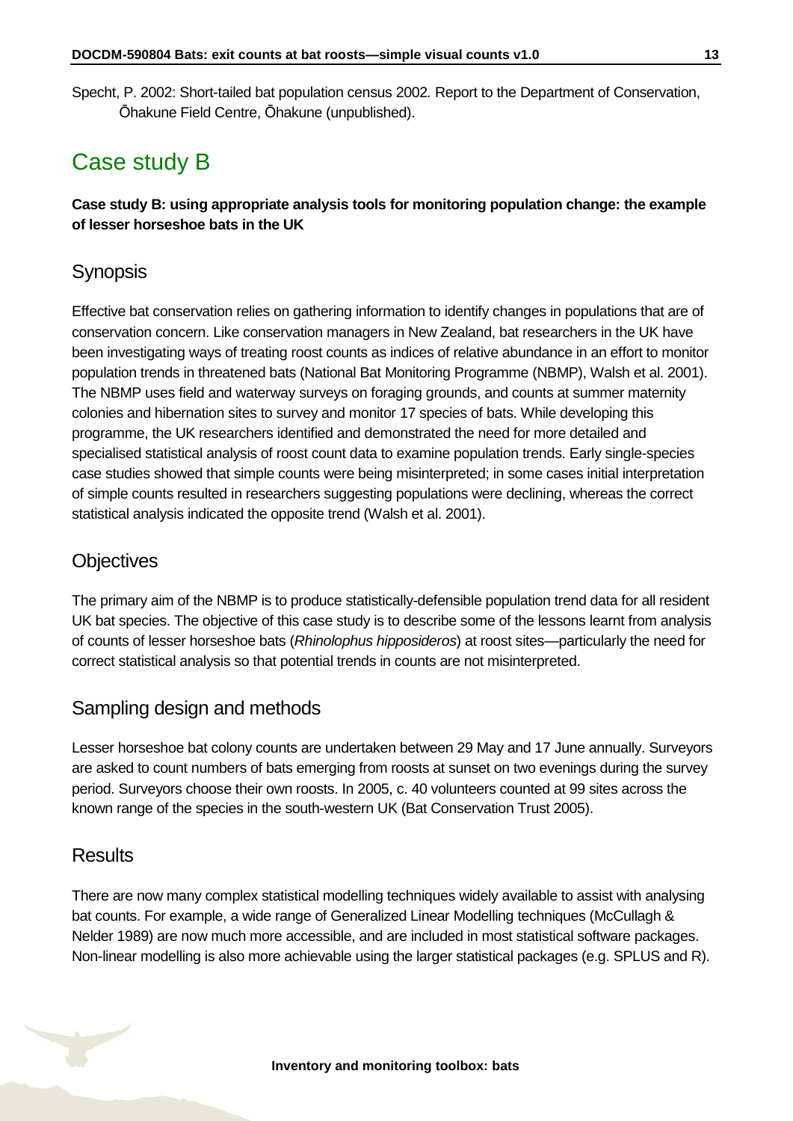Specht, P. 2002: Short-tailed bat population census 2002*.* Report to the Department of Conservation, Ōhakune Field Centre, Ōhakune (unpublished).

# <span id="page-12-0"></span>Case study B

**Case study B: using appropriate analysis tools for monitoring population change: the example of lesser horseshoe bats in the UK**

#### **Synopsis**

Effective bat conservation relies on gathering information to identify changes in populations that are of conservation concern. Like conservation managers in New Zealand, bat researchers in the UK have been investigating ways of treating roost counts as indices of relative abundance in an effort to monitor population trends in threatened bats (National Bat Monitoring Programme (NBMP), Walsh et al. 2001). The NBMP uses field and waterway surveys on foraging grounds, and counts at summer maternity colonies and hibernation sites to survey and monitor 17 species of bats. While developing this programme, the UK researchers identified and demonstrated the need for more detailed and specialised statistical analysis of roost count data to examine population trends. Early single-species case studies showed that simple counts were being misinterpreted; in some cases initial interpretation of simple counts resulted in researchers suggesting populations were declining, whereas the correct statistical analysis indicated the opposite trend (Walsh et al. 2001).

#### **Objectives**

The primary aim of the NBMP is to produce statistically-defensible population trend data for all resident UK bat species. The objective of this case study is to describe some of the lessons learnt from analysis of counts of lesser horseshoe bats (*Rhinolophus hipposideros*) at roost sites—particularly the need for correct statistical analysis so that potential trends in counts are not misinterpreted.

#### Sampling design and methods

Lesser horseshoe bat colony counts are undertaken between 29 May and 17 June annually. Surveyors are asked to count numbers of bats emerging from roosts at sunset on two evenings during the survey period. Surveyors choose their own roosts. In 2005, c. 40 volunteers counted at 99 sites across the known range of the species in the south-western UK (Bat Conservation Trust 2005).

#### **Results**

There are now many complex statistical modelling techniques widely available to assist with analysing bat counts. For example, a wide range of Generalized Linear Modelling techniques (McCullagh & Nelder 1989) are now much more accessible, and are included in most statistical software packages. Non-linear modelling is also more achievable using the larger statistical packages (e.g. SPLUS and R).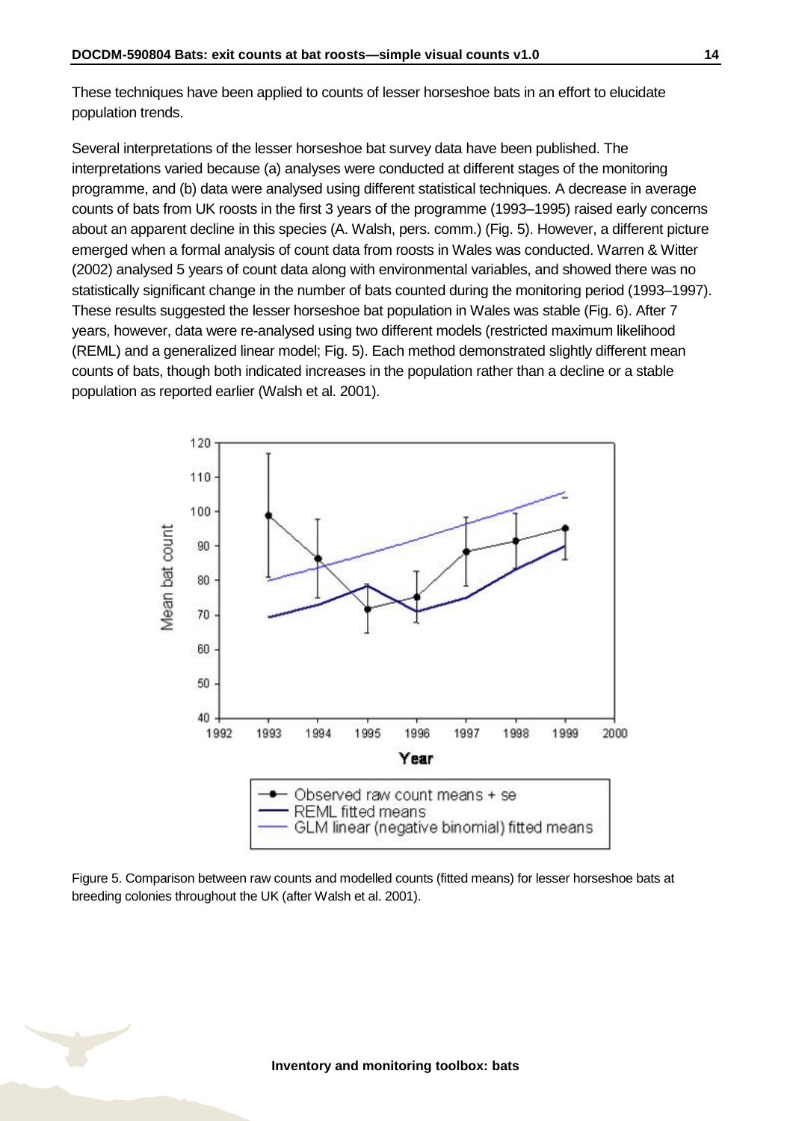These techniques have been applied to counts of lesser horseshoe bats in an effort to elucidate population trends.

Several interpretations of the lesser horseshoe bat survey data have been published. The interpretations varied because (a) analyses were conducted at different stages of the monitoring programme, and (b) data were analysed using different statistical techniques. A decrease in average counts of bats from UK roosts in the first 3 years of the programme (1993–1995) raised early concerns about an apparent decline in this species (A. Walsh, pers. comm.) (Fig. 5). However, a different picture emerged when a formal analysis of count data from roosts in Wales was conducted. Warren & Witter (2002) analysed 5 years of count data along with environmental variables, and showed there was no statistically significant change in the number of bats counted during the monitoring period (1993–1997). These results suggested the lesser horseshoe bat population in Wales was stable (Fig. 6). After 7 years, however, data were re-analysed using two different models (restricted maximum likelihood (REML) and a generalized linear model; Fig. 5). Each method demonstrated slightly different mean counts of bats, though both indicated increases in the population rather than a decline or a stable population as reported earlier (Walsh et al. 2001).



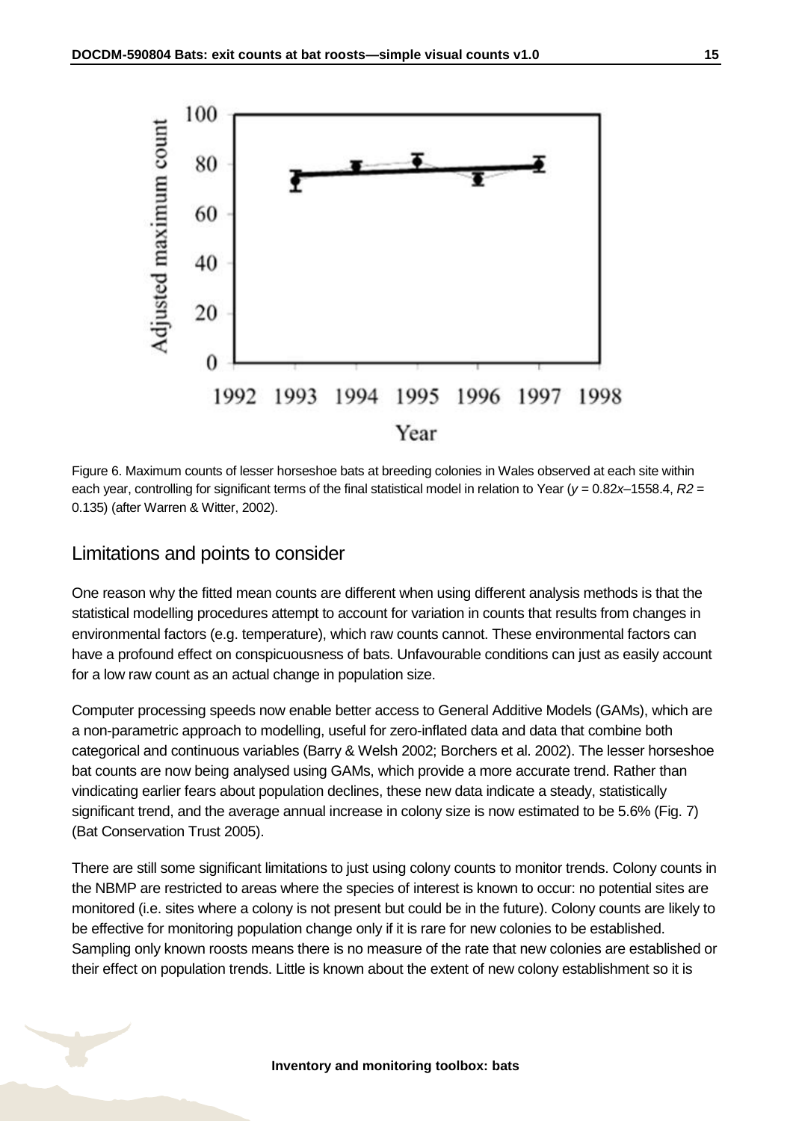

Figure 6. Maximum counts of lesser horseshoe bats at breeding colonies in Wales observed at each site within each year, controlling for significant terms of the final statistical model in relation to Year ( $y = 0.82x-1558.4$ ,  $R2 =$ 0.135) (after Warren & Witter, 2002).

#### Limitations and points to consider

One reason why the fitted mean counts are different when using different analysis methods is that the statistical modelling procedures attempt to account for variation in counts that results from changes in environmental factors (e.g. temperature), which raw counts cannot. These environmental factors can have a profound effect on conspicuousness of bats. Unfavourable conditions can just as easily account for a low raw count as an actual change in population size.

Computer processing speeds now enable better access to General Additive Models (GAMs), which are a non-parametric approach to modelling, useful for zero-inflated data and data that combine both categorical and continuous variables (Barry & Welsh 2002; Borchers et al. 2002). The lesser horseshoe bat counts are now being analysed using GAMs, which provide a more accurate trend. Rather than vindicating earlier fears about population declines, these new data indicate a steady, statistically significant trend, and the average annual increase in colony size is now estimated to be 5.6% (Fig. 7) (Bat Conservation Trust 2005).

There are still some significant limitations to just using colony counts to monitor trends. Colony counts in the NBMP are restricted to areas where the species of interest is known to occur: no potential sites are monitored (i.e. sites where a colony is not present but could be in the future). Colony counts are likely to be effective for monitoring population change only if it is rare for new colonies to be established. Sampling only known roosts means there is no measure of the rate that new colonies are established or their effect on population trends. Little is known about the extent of new colony establishment so it is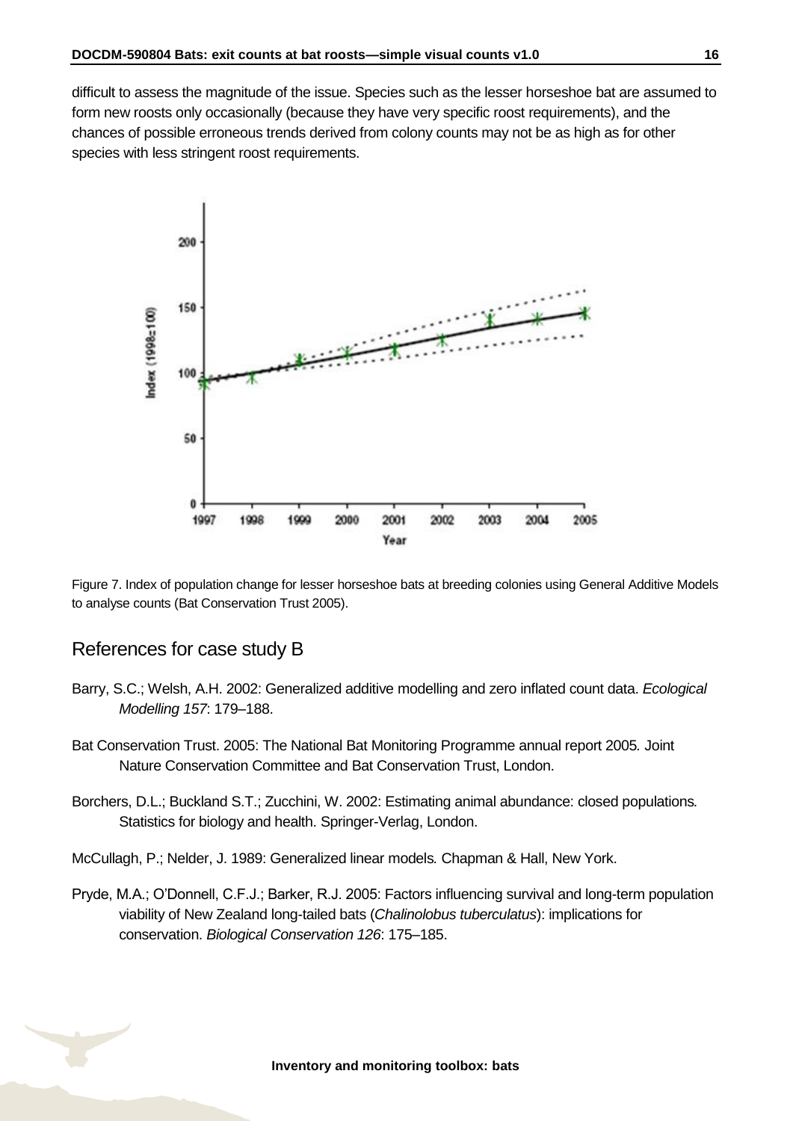difficult to assess the magnitude of the issue. Species such as the lesser horseshoe bat are assumed to form new roosts only occasionally (because they have very specific roost requirements), and the chances of possible erroneous trends derived from colony counts may not be as high as for other species with less stringent roost requirements.



Figure 7. Index of population change for lesser horseshoe bats at breeding colonies using General Additive Models to analyse counts (Bat Conservation Trust 2005).

#### References for case study B

- Barry, S.C.; Welsh, A.H. 2002: Generalized additive modelling and zero inflated count data. *Ecological Modelling 157*: 179–188.
- Bat Conservation Trust. 2005: The National Bat Monitoring Programme annual report 2005*.* Joint Nature Conservation Committee and Bat Conservation Trust, London.
- Borchers, D.L.; Buckland S.T.; Zucchini, W. 2002: Estimating animal abundance: closed populations*.* Statistics for biology and health. Springer-Verlag, London.
- McCullagh, P.; Nelder, J. 1989: Generalized linear models*.* Chapman & Hall, New York.
- Pryde, M.A.; O'Donnell, C.F.J.; Barker, R.J. 2005: Factors influencing survival and long-term population viability of New Zealand long-tailed bats (*Chalinolobus tuberculatus*): implications for conservation. *Biological Conservation 126*: 175–185.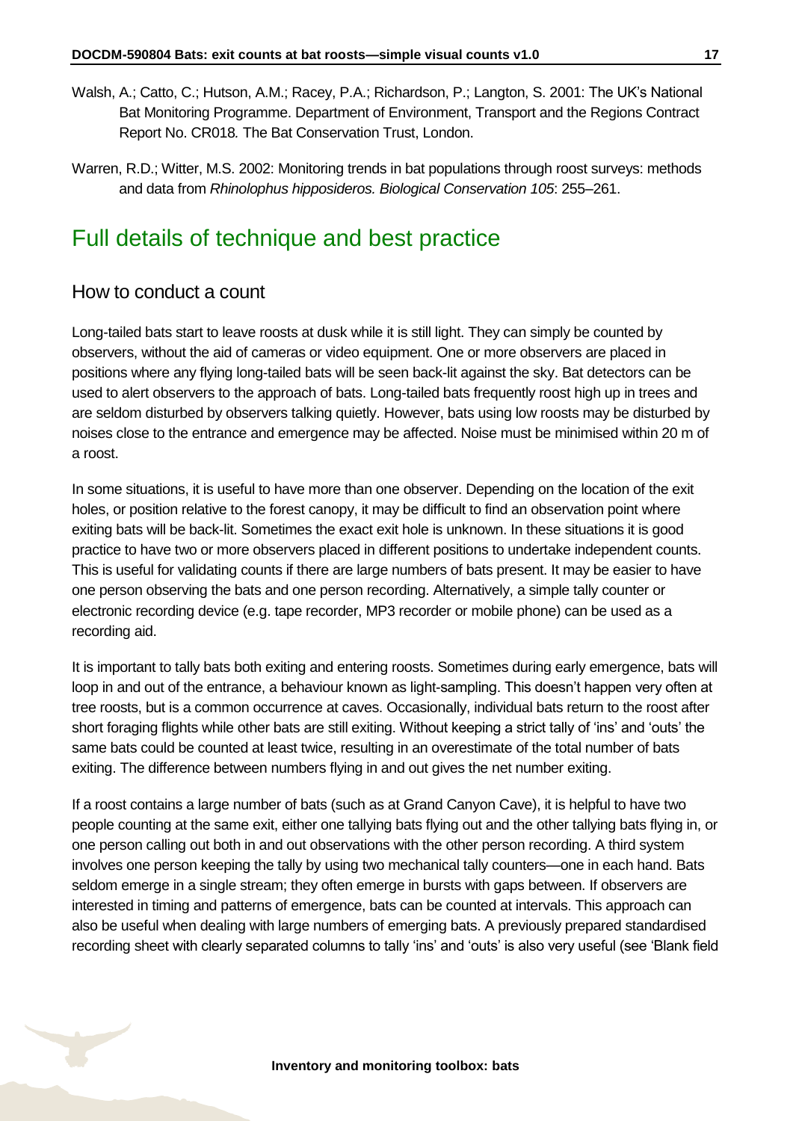- Walsh, A.; Catto, C.; Hutson, A.M.; Racey, P.A.; Richardson, P.; Langton, S. 2001: The UK's National Bat Monitoring Programme. Department of Environment, Transport and the Regions Contract Report No. CR018*.* The Bat Conservation Trust, London.
- Warren, R.D.; Witter, M.S. 2002: Monitoring trends in bat populations through roost surveys: methods and data from *Rhinolophus hipposideros. Biological Conservation 105*: 255–261.

### <span id="page-16-0"></span>Full details of technique and best practice

#### How to conduct a count

Long-tailed bats start to leave roosts at dusk while it is still light. They can simply be counted by observers, without the aid of cameras or video equipment. One or more observers are placed in positions where any flying long-tailed bats will be seen back-lit against the sky. Bat detectors can be used to alert observers to the approach of bats. Long-tailed bats frequently roost high up in trees and are seldom disturbed by observers talking quietly. However, bats using low roosts may be disturbed by noises close to the entrance and emergence may be affected. Noise must be minimised within 20 m of a roost.

In some situations, it is useful to have more than one observer. Depending on the location of the exit holes, or position relative to the forest canopy, it may be difficult to find an observation point where exiting bats will be back-lit. Sometimes the exact exit hole is unknown. In these situations it is good practice to have two or more observers placed in different positions to undertake independent counts. This is useful for validating counts if there are large numbers of bats present. It may be easier to have one person observing the bats and one person recording. Alternatively, a simple tally counter or electronic recording device (e.g. tape recorder, MP3 recorder or mobile phone) can be used as a recording aid.

It is important to tally bats both exiting and entering roosts. Sometimes during early emergence, bats will loop in and out of the entrance, a behaviour known as light-sampling. This doesn't happen very often at tree roosts, but is a common occurrence at caves. Occasionally, individual bats return to the roost after short foraging flights while other bats are still exiting. Without keeping a strict tally of 'ins' and 'outs' the same bats could be counted at least twice, resulting in an overestimate of the total number of bats exiting. The difference between numbers flying in and out gives the net number exiting.

If a roost contains a large number of bats (such as at Grand Canyon Cave), it is helpful to have two people counting at the same exit, either one tallying bats flying out and the other tallying bats flying in, or one person calling out both in and out observations with the other person recording. A third system involves one person keeping the tally by using two mechanical tally counters—one in each hand. Bats seldom emerge in a single stream; they often emerge in bursts with gaps between. If observers are interested in timing and patterns of emergence, bats can be counted at intervals. This approach can also be useful when dealing with large numbers of emerging bats. A previously prepared standardised recording sheet with clearly separated columns to tally 'ins' and 'outs' is also very useful (see 'Blank field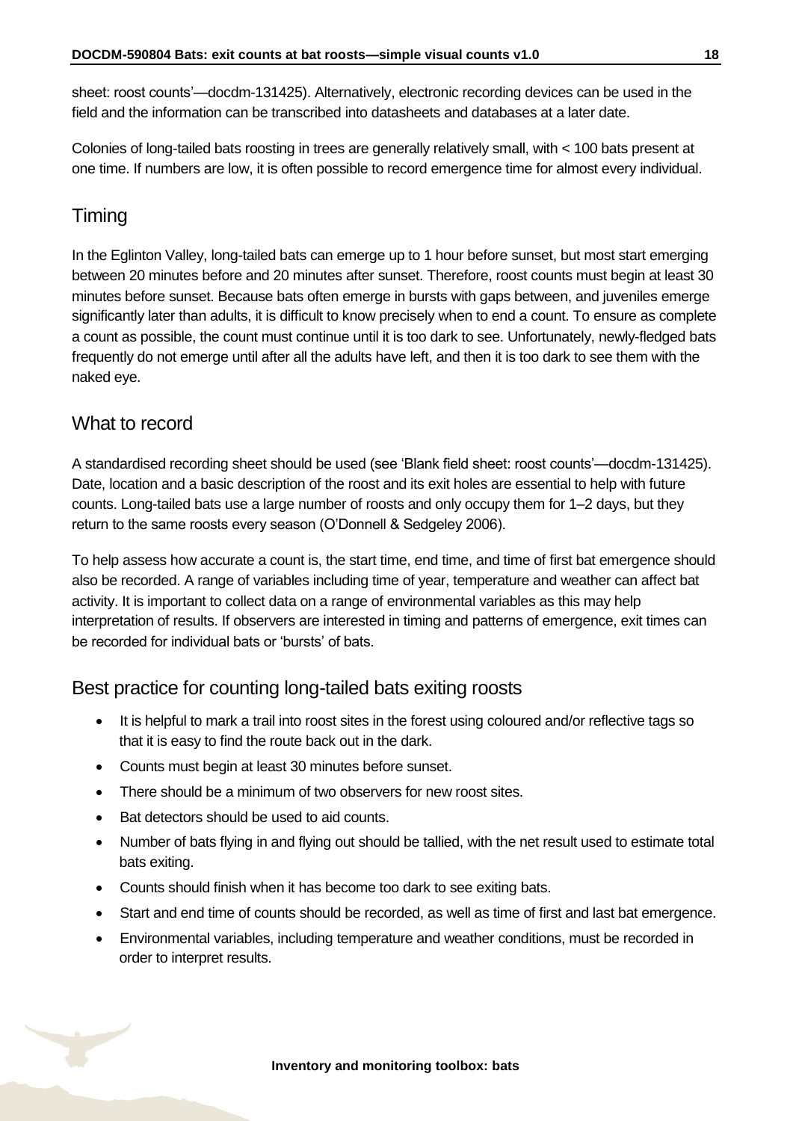sheet: roost counts'—docdm-131425). Alternatively, electronic recording devices can be used in the field and the information can be transcribed into datasheets and databases at a later date.

Colonies of long-tailed bats roosting in trees are generally relatively small, with < 100 bats present at one time. If numbers are low, it is often possible to record emergence time for almost every individual.

#### Timing

In the Eglinton Valley, long-tailed bats can emerge up to 1 hour before sunset, but most start emerging between 20 minutes before and 20 minutes after sunset. Therefore, roost counts must begin at least 30 minutes before sunset. Because bats often emerge in bursts with gaps between, and juveniles emerge significantly later than adults, it is difficult to know precisely when to end a count. To ensure as complete a count as possible, the count must continue until it is too dark to see. Unfortunately, newly-fledged bats frequently do not emerge until after all the adults have left, and then it is too dark to see them with the naked eye.

#### What to record

A standardised recording sheet should be used (see 'Blank field sheet: roost counts'—docdm-131425). Date, location and a basic description of the roost and its exit holes are essential to help with future counts. Long-tailed bats use a large number of roosts and only occupy them for 1–2 days, but they return to the same roosts every season (O'Donnell & Sedgeley 2006).

To help assess how accurate a count is, the start time, end time, and time of first bat emergence should also be recorded. A range of variables including time of year, temperature and weather can affect bat activity. It is important to collect data on a range of environmental variables as this may help interpretation of results. If observers are interested in timing and patterns of emergence, exit times can be recorded for individual bats or 'bursts' of bats.

#### Best practice for counting long-tailed bats exiting roosts

- It is helpful to mark a trail into roost sites in the forest using coloured and/or reflective tags so that it is easy to find the route back out in the dark.
- Counts must begin at least 30 minutes before sunset.
- There should be a minimum of two observers for new roost sites.
- Bat detectors should be used to aid counts.
- Number of bats flying in and flying out should be tallied, with the net result used to estimate total bats exiting.
- Counts should finish when it has become too dark to see exiting bats.
- Start and end time of counts should be recorded, as well as time of first and last bat emergence.
- Environmental variables, including temperature and weather conditions, must be recorded in order to interpret results.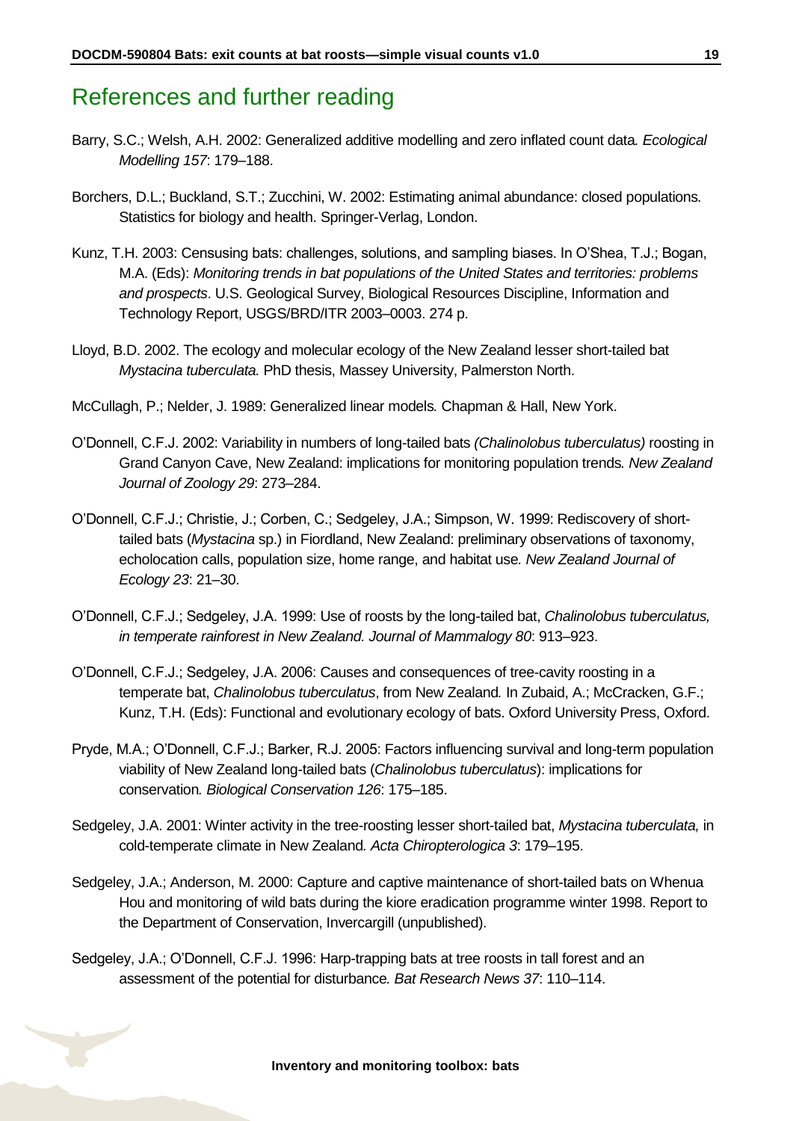### <span id="page-18-0"></span>References and further reading

- Barry, S.C.; Welsh, A.H. 2002: Generalized additive modelling and zero inflated count data*. Ecological Modelling 157*: 179–188.
- Borchers, D.L.; Buckland, S.T.; Zucchini, W. 2002: Estimating animal abundance: closed populations*.*  Statistics for biology and health. Springer-Verlag, London.
- Kunz, T.H. 2003: Censusing bats: challenges, solutions, and sampling biases. In O'Shea, T.J.; Bogan, M.A. (Eds): *Monitoring trends in bat populations of the United States and territories: problems and prospects*. U.S. Geological Survey, Biological Resources Discipline, Information and Technology Report, USGS/BRD/ITR 2003–0003. 274 p.
- Lloyd, B.D. 2002. The ecology and molecular ecology of the New Zealand lesser short-tailed bat *Mystacina tuberculata.* PhD thesis, Massey University, Palmerston North.
- McCullagh, P.; Nelder, J. 1989: Generalized linear models*.* Chapman & Hall, New York.
- O'Donnell, C.F.J. 2002: Variability in numbers of long-tailed bats *(Chalinolobus tuberculatus)* roosting in Grand Canyon Cave, New Zealand: implications for monitoring population trends*. New Zealand Journal of Zoology 29*: 273–284.
- O'Donnell, C.F.J.; Christie, J.; Corben, C.; Sedgeley, J.A.; Simpson, W. 1999: Rediscovery of shorttailed bats (*Mystacina* sp.) in Fiordland, New Zealand: preliminary observations of taxonomy, echolocation calls, population size, home range, and habitat use*. New Zealand Journal of Ecology 23*: 21–30.
- O'Donnell, C.F.J.; Sedgeley, J.A. 1999: Use of roosts by the long-tailed bat, *Chalinolobus tuberculatus, in temperate rainforest in New Zealand. Journal of Mammalogy 80*: 913–923.
- O'Donnell, C.F.J.; Sedgeley, J.A. 2006: Causes and consequences of tree-cavity roosting in a temperate bat, *Chalinolobus tuberculatus*, from New Zealand*.* In Zubaid, A.; McCracken, G.F.; Kunz, T.H. (Eds): Functional and evolutionary ecology of bats. Oxford University Press, Oxford.
- Pryde, M.A.; O'Donnell, C.F.J.; Barker, R.J. 2005: Factors influencing survival and long-term population viability of New Zealand long-tailed bats (*Chalinolobus tuberculatus*): implications for conservation*. Biological Conservation 126*: 175–185.
- Sedgeley, J.A. 2001: Winter activity in the tree-roosting lesser short-tailed bat, *Mystacina tuberculata,* in cold-temperate climate in New Zealand*. Acta Chiropterologica 3*: 179–195.
- Sedgeley, J.A.; Anderson, M. 2000: Capture and captive maintenance of short-tailed bats on Whenua Hou and monitoring of wild bats during the kiore eradication programme winter 1998. Report to the Department of Conservation, Invercargill (unpublished).
- Sedgeley, J.A.; O'Donnell, C.F.J. 1996: Harp-trapping bats at tree roosts in tall forest and an assessment of the potential for disturbance*. Bat Research News 37*: 110–114.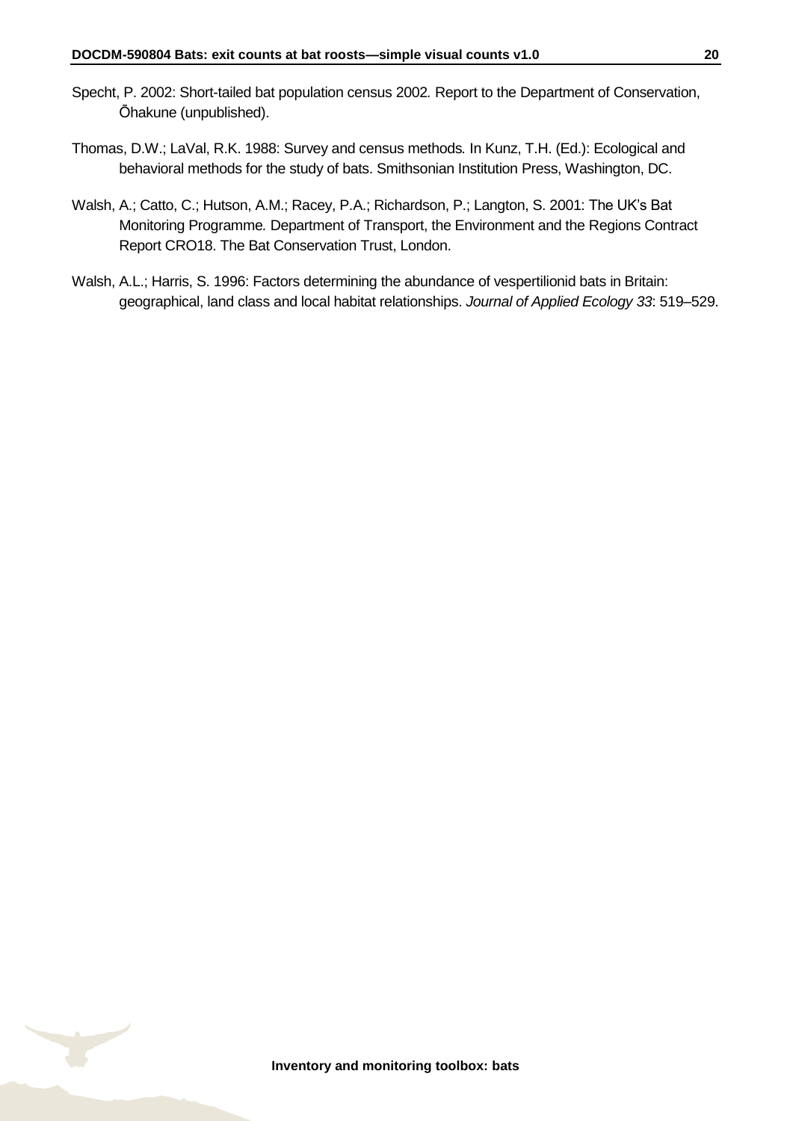- Specht, P. 2002: Short-tailed bat population census 2002*.* Report to the Department of Conservation, Ōhakune (unpublished).
- Thomas, D.W.; LaVal, R.K. 1988: Survey and census methods*.* In Kunz, T.H. (Ed.): Ecological and behavioral methods for the study of bats. Smithsonian Institution Press, Washington, DC.
- Walsh, A.; Catto, C.; Hutson, A.M.; Racey, P.A.; Richardson, P.; Langton, S. 2001: The UK's Bat Monitoring Programme*.* Department of Transport, the Environment and the Regions Contract Report CRO18. The Bat Conservation Trust, London.
- Walsh, A.L.; Harris, S. 1996: Factors determining the abundance of vespertilionid bats in Britain: geographical, land class and local habitat relationships. *Journal of Applied Ecology 33*: 519–529.